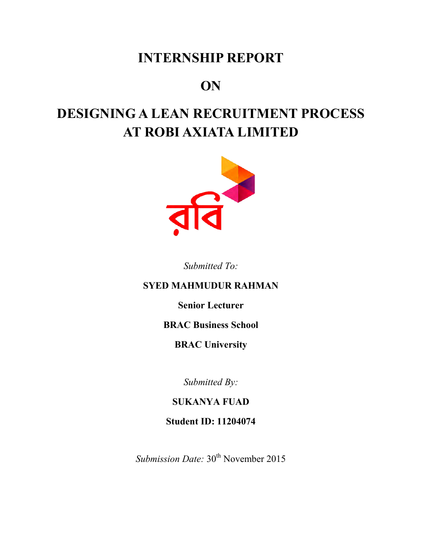### **INTERNSHIP REPORT**

### **ON**

# **DESIGNING A LEAN RECRUITMENT PROCESS AT ROBI AXIATA LIMITED**



*Submitted To:* 

### **SYED MAHMUDUR RAHMAN**

**Senior Lecturer** 

#### **BRAC Business School**

#### **BRAC University**

*Submitted By:* 

**SUKANYA FUAD** 

**Student ID: 11204074** 

*Submission Date:* 30<sup>th</sup> November 2015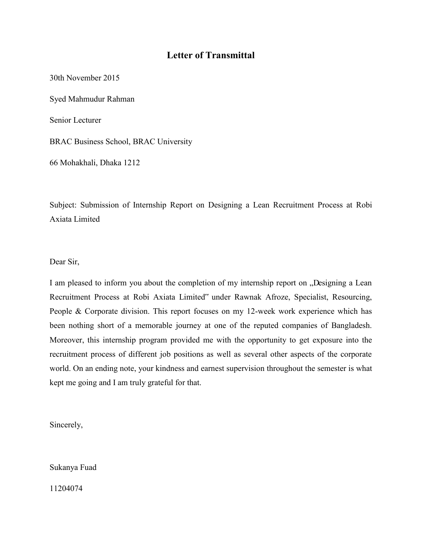#### **Letter of Transmittal**

30th November 2015

Syed Mahmudur Rahman

Senior Lecturer

BRAC Business School, BRAC University

66 Mohakhali, Dhaka 1212

Subject: Submission of Internship Report on Designing a Lean Recruitment Process at Robi Axiata Limited

Dear Sir,

I am pleased to inform you about the completion of my internship report on  $n$ . Designing a Lean Recruitment Process at Robi Axiata Limited" under Rawnak Afroze, Specialist, Resourcing, People & Corporate division. This report focuses on my 12-week work experience which has been nothing short of a memorable journey at one of the reputed companies of Bangladesh. Moreover, this internship program provided me with the opportunity to get exposure into the recruitment process of different job positions as well as several other aspects of the corporate world. On an ending note, your kindness and earnest supervision throughout the semester is what kept me going and I am truly grateful for that.

Sincerely,

Sukanya Fuad

11204074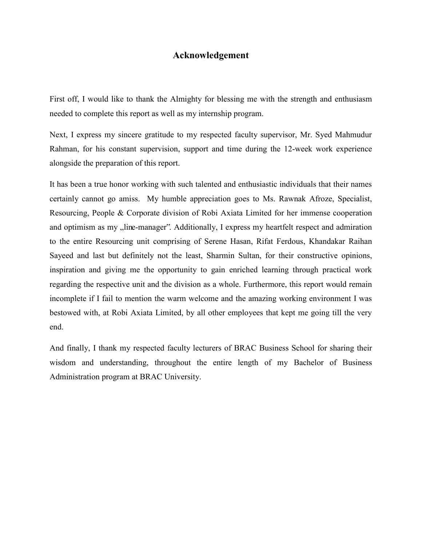#### **Acknowledgement**

First off, I would like to thank the Almighty for blessing me with the strength and enthusiasm needed to complete this report as well as my internship program.

Next, I express my sincere gratitude to my respected faculty supervisor, Mr. Syed Mahmudur Rahman, for his constant supervision, support and time during the 12-week work experience alongside the preparation of this report.

It has been a true honor working with such talented and enthusiastic individuals that their names certainly cannot go amiss. My humble appreciation goes to Ms. Rawnak Afroze, Specialist, Resourcing, People & Corporate division of Robi Axiata Limited for her immense cooperation and optimism as my "line-manager". Additionally, I express my heartfelt respect and admiration to the entire Resourcing unit comprising of Serene Hasan, Rifat Ferdous, Khandakar Raihan Sayeed and last but definitely not the least, Sharmin Sultan, for their constructive opinions, inspiration and giving me the opportunity to gain enriched learning through practical work regarding the respective unit and the division as a whole. Furthermore, this report would remain incomplete if I fail to mention the warm welcome and the amazing working environment I was bestowed with, at Robi Axiata Limited, by all other employees that kept me going till the very end.

And finally, I thank my respected faculty lecturers of BRAC Business School for sharing their wisdom and understanding, throughout the entire length of my Bachelor of Business Administration program at BRAC University.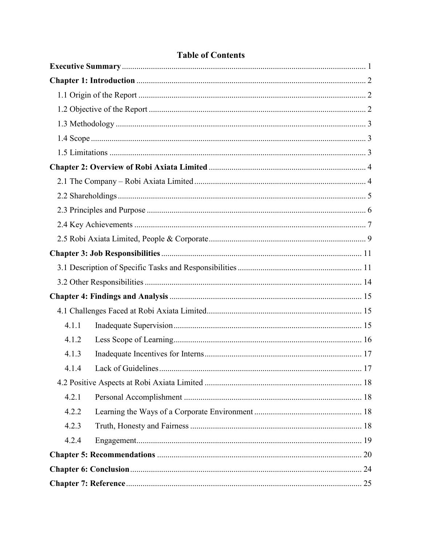| 4.1.1 |                    |    |
|-------|--------------------|----|
| 4.1.2 |                    |    |
| 4.1.3 |                    |    |
| 4.1.4 | Lack of Guidelines | 17 |
|       |                    |    |
| 4.2.1 |                    |    |
| 4.2.2 |                    |    |
| 4.2.3 |                    |    |
| 4.2.4 |                    |    |
|       |                    |    |
|       |                    |    |
|       |                    |    |

### **Table of Contents**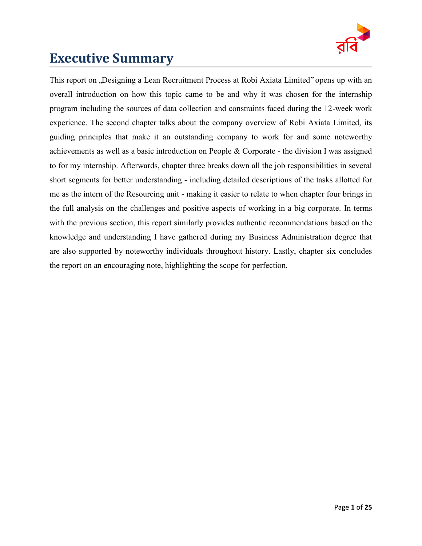

### <span id="page-4-0"></span>**Executive Summary**

This report on "Designing a Lean Recruitment Process at Robi Axiata Limited" opens up with an overall introduction on how this topic came to be and why it was chosen for the internship program including the sources of data collection and constraints faced during the 12-week work experience. The second chapter talks about the company overview of Robi Axiata Limited, its guiding principles that make it an outstanding company to work for and some noteworthy achievements as well as a basic introduction on People & Corporate - the division I was assigned to for my internship. Afterwards, chapter three breaks down all the job responsibilities in several short segments for better understanding - including detailed descriptions of the tasks allotted for me as the intern of the Resourcing unit - making it easier to relate to when chapter four brings in the full analysis on the challenges and positive aspects of working in a big corporate. In terms with the previous section, this report similarly provides authentic recommendations based on the knowledge and understanding I have gathered during my Business Administration degree that are also supported by noteworthy individuals throughout history. Lastly, chapter six concludes the report on an encouraging note, highlighting the scope for perfection.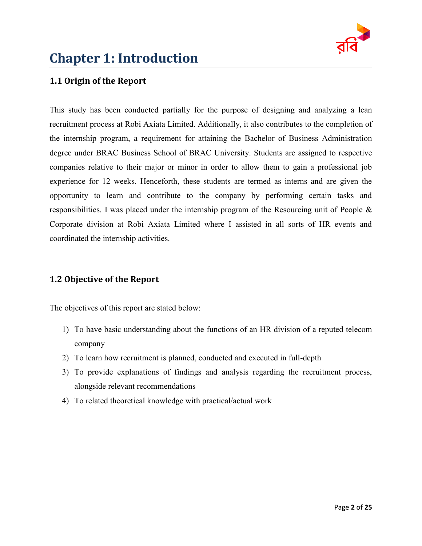

# <span id="page-5-0"></span>**Chapter 1: Introduction**

#### <span id="page-5-1"></span>**1.1 Origin of the Report**

This study has been conducted partially for the purpose of designing and analyzing a lean recruitment process at Robi Axiata Limited. Additionally, it also contributes to the completion of the internship program, a requirement for attaining the Bachelor of Business Administration degree under BRAC Business School of BRAC University. Students are assigned to respective companies relative to their major or minor in order to allow them to gain a professional job experience for 12 weeks. Henceforth, these students are termed as interns and are given the opportunity to learn and contribute to the company by performing certain tasks and responsibilities. I was placed under the internship program of the Resourcing unit of People & Corporate division at Robi Axiata Limited where I assisted in all sorts of HR events and coordinated the internship activities.

#### <span id="page-5-2"></span>**1.2 Objective of the Report**

The objectives of this report are stated below:

- 1) To have basic understanding about the functions of an HR division of a reputed telecom company
- 2) To learn how recruitment is planned, conducted and executed in full-depth
- 3) To provide explanations of findings and analysis regarding the recruitment process, alongside relevant recommendations
- 4) To related theoretical knowledge with practical/actual work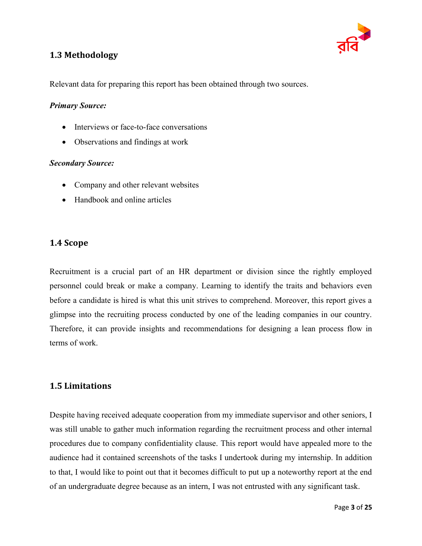

#### <span id="page-6-0"></span>**1.3 Methodology**

Relevant data for preparing this report has been obtained through two sources.

#### *Primary Source:*

- Interviews or face-to-face conversations
- Observations and findings at work

#### *Secondary Source:*

- Company and other relevant websites
- Handbook and online articles

#### <span id="page-6-1"></span>**1.4 Scope**

Recruitment is a crucial part of an HR department or division since the rightly employed personnel could break or make a company. Learning to identify the traits and behaviors even before a candidate is hired is what this unit strives to comprehend. Moreover, this report gives a glimpse into the recruiting process conducted by one of the leading companies in our country. Therefore, it can provide insights and recommendations for designing a lean process flow in terms of work.

#### <span id="page-6-2"></span>**1.5 Limitations**

Despite having received adequate cooperation from my immediate supervisor and other seniors, I was still unable to gather much information regarding the recruitment process and other internal procedures due to company confidentiality clause. This report would have appealed more to the audience had it contained screenshots of the tasks I undertook during my internship. In addition to that, I would like to point out that it becomes difficult to put up a noteworthy report at the end of an undergraduate degree because as an intern, I was not entrusted with any significant task.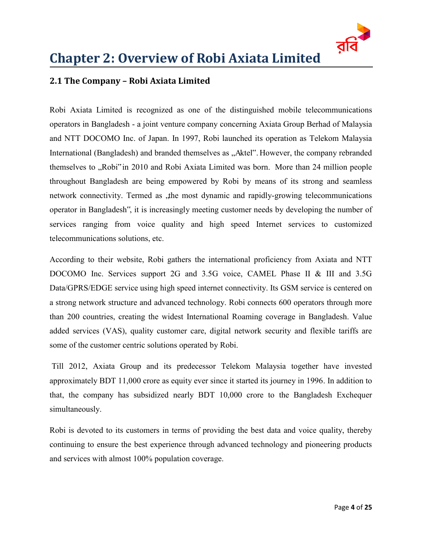

# <span id="page-7-0"></span>**Chapter 2: Overview of Robi Axiata Limited**

#### <span id="page-7-1"></span>**2.1 The Company – Robi Axiata Limited**

Robi Axiata Limited is recognized as one of the distinguished mobile telecommunications operators in Bangladesh - a joint venture company concerning Axiata Group Berhad of Malaysia and NTT DOCOMO Inc. of Japan. In 1997, Robi launched its operation as Telekom Malaysia International (Bangladesh) and branded themselves as "Aktel". However, the company rebranded themselves to "Robi" in 2010 and Robi Axiata Limited was born. More than 24 million people throughout Bangladesh are being empowered by Robi by means of its strong and seamless network connectivity. Termed as the most dynamic and rapidly-growing telecommunications operator in Bangladesh", it is increasingly meeting customer needs by developing the number of services ranging from voice quality and high speed Internet services to customized telecommunications solutions, etc.

According to their website, Robi gathers the international proficiency from Axiata and NTT DOCOMO Inc. Services support 2G and 3.5G voice, CAMEL Phase II & III and 3.5G Data/GPRS/EDGE service using high speed internet connectivity. Its GSM service is centered on a strong network structure and advanced technology. Robi connects 600 operators through more than 200 countries, creating the widest International Roaming coverage in Bangladesh. Value added services (VAS), quality customer care, digital network security and flexible tariffs are some of the customer centric solutions operated by Robi.

Till 2012, Axiata Group and its predecessor Telekom Malaysia together have invested approximately BDT 11,000 crore as equity ever since it started its journey in 1996. In addition to that, the company has subsidized nearly BDT 10,000 crore to the Bangladesh Exchequer simultaneously.

Robi is devoted to its customers in terms of providing the best data and voice quality, thereby continuing to ensure the best experience through advanced technology and pioneering products and services with almost 100% population coverage.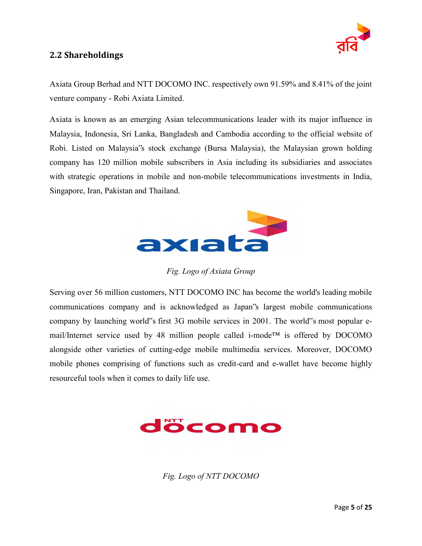

#### <span id="page-8-0"></span>**2.2 Shareholdings**

Axiata Group Berhad and NTT DOCOMO INC. respectively own 91.59% and 8.41% of the joint venture company - Robi Axiata Limited.

Axiata is known as an emerging Asian telecommunications leader with its major influence in Malaysia, Indonesia, Sri Lanka, Bangladesh and Cambodia according to the official website of Robi. Listed on Malaysia"s stock exchange (Bursa Malaysia), the Malaysian grown holding company has 120 million mobile subscribers in Asia including its subsidiaries and associates with strategic operations in mobile and non-mobile telecommunications investments in India, Singapore, Iran, Pakistan and Thailand.



*Fig. Logo of Axiata Group* 

Serving over 56 million customers, NTT DOCOMO INC has become the world's leading mobile communications company and is acknowledged as Japan"s largest mobile communications company by launching world"s first 3G mobile services in 2001. The world"s most popular email/Internet service used by 48 million people called i-mode™ is offered by DOCOMO alongside other varieties of cutting-edge mobile multimedia services. Moreover, DOCOMO mobile phones comprising of functions such as credit-card and e-wallet have become highly resourceful tools when it comes to daily life use.



*Fig. Logo of NTT DOCOMO*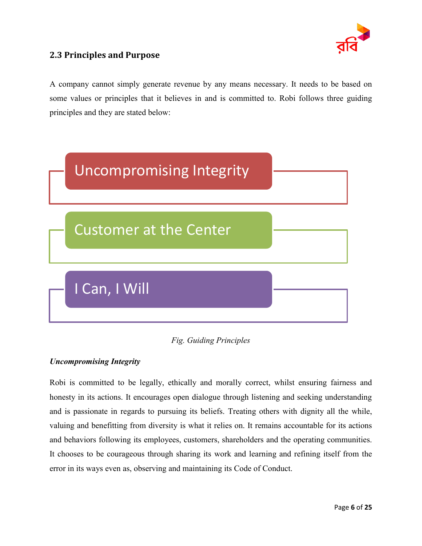

#### <span id="page-9-0"></span>**2.3 Principles and Purpose**

A company cannot simply generate revenue by any means necessary. It needs to be based on some values or principles that it believes in and is committed to. Robi follows three guiding principles and they are stated below:





#### *Uncompromising Integrity*

Robi is committed to be legally, ethically and morally correct, whilst ensuring fairness and honesty in its actions. It encourages open dialogue through listening and seeking understanding and is passionate in regards to pursuing its beliefs. Treating others with dignity all the while, valuing and benefitting from diversity is what it relies on. It remains accountable for its actions and behaviors following its employees, customers, shareholders and the operating communities. It chooses to be courageous through sharing its work and learning and refining itself from the error in its ways even as, observing and maintaining its Code of Conduct.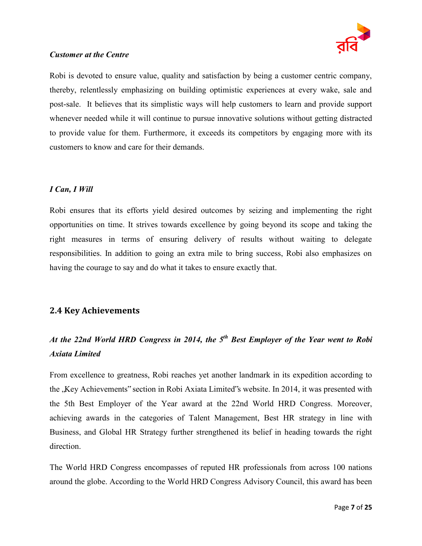

#### *Customer at the Centre*

Robi is devoted to ensure value, quality and satisfaction by being a customer centric company, thereby, relentlessly emphasizing on building optimistic experiences at every wake, sale and post-sale. It believes that its simplistic ways will help customers to learn and provide support whenever needed while it will continue to pursue innovative solutions without getting distracted to provide value for them. Furthermore, it exceeds its competitors by engaging more with its customers to know and care for their demands.

#### *I Can, I Will*

Robi ensures that its efforts yield desired outcomes by seizing and implementing the right opportunities on time. It strives towards excellence by going beyond its scope and taking the right measures in terms of ensuring delivery of results without waiting to delegate responsibilities. In addition to going an extra mile to bring success, Robi also emphasizes on having the courage to say and do what it takes to ensure exactly that.

#### <span id="page-10-0"></span>**2.4 Key Achievements**

### *At the 22nd World HRD Congress in 2014, the 5th Best Employer of the Year went to Robi Axiata Limited*

From excellence to greatness, Robi reaches yet another landmark in its expedition according to the "Key Achievements" section in Robi Axiata Limited"s website. In 2014, it was presented with the 5th Best Employer of the Year award at the 22nd World HRD Congress. Moreover, achieving awards in the categories of Talent Management, Best HR strategy in line with Business, and Global HR Strategy further strengthened its belief in heading towards the right direction.

The World HRD Congress encompasses of reputed HR professionals from across 100 nations around the globe. According to the World HRD Congress Advisory Council, this award has been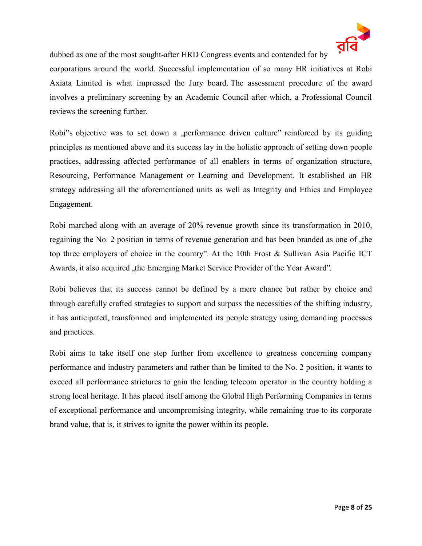

dubbed as one of the most sought-after HRD Congress events and contended for by

corporations around the world. Successful implementation of so many HR initiatives at Robi Axiata Limited is what impressed the Jury board. The assessment procedure of the award involves a preliminary screening by an Academic Council after which, a Professional Council reviews the screening further.

Robi<sup>\*\*</sup>s objective was to set down a , performance driven culture extending reinforced by its guiding principles as mentioned above and its success lay in the holistic approach of setting down people practices, addressing affected performance of all enablers in terms of organization structure, Resourcing, Performance Management or Learning and Development. It established an HR strategy addressing all the aforementioned units as well as Integrity and Ethics and Employee Engagement.

Robi marched along with an average of 20% revenue growth since its transformation in 2010, regaining the No. 2 position in terms of revenue generation and has been branded as one of the top three employers of choice in the country". At the 10th Frost & Sullivan Asia Pacific ICT Awards, it also acquired , the Emerging Market Service Provider of the Year Award".

Robi believes that its success cannot be defined by a mere chance but rather by choice and through carefully crafted strategies to support and surpass the necessities of the shifting industry, it has anticipated, transformed and implemented its people strategy using demanding processes and practices.

Robi aims to take itself one step further from excellence to greatness concerning company performance and industry parameters and rather than be limited to the No. 2 position, it wants to exceed all performance strictures to gain the leading telecom operator in the country holding a strong local heritage. It has placed itself among the Global High Performing Companies in terms of exceptional performance and uncompromising integrity, while remaining true to its corporate brand value, that is, it strives to ignite the power within its people.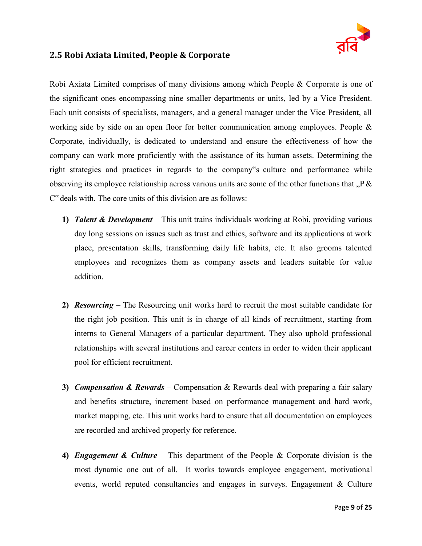

#### <span id="page-12-0"></span>**2.5 Robi Axiata Limited, People & Corporate**

Robi Axiata Limited comprises of many divisions among which People & Corporate is one of the significant ones encompassing nine smaller departments or units, led by a Vice President. Each unit consists of specialists, managers, and a general manager under the Vice President, all working side by side on an open floor for better communication among employees. People & Corporate, individually, is dedicated to understand and ensure the effectiveness of how the company can work more proficiently with the assistance of its human assets. Determining the right strategies and practices in regards to the company"s culture and performance while observing its employee relationship across various units are some of the other functions that  $P \&$ C" deals with. The core units of this division are as follows:

- **1)** *Talent & Development* This unit trains individuals working at Robi, providing various day long sessions on issues such as trust and ethics, software and its applications at work place, presentation skills, transforming daily life habits, etc. It also grooms talented employees and recognizes them as company assets and leaders suitable for value addition.
- **2)** *Resourcing* The Resourcing unit works hard to recruit the most suitable candidate for the right job position. This unit is in charge of all kinds of recruitment, starting from interns to General Managers of a particular department. They also uphold professional relationships with several institutions and career centers in order to widen their applicant pool for efficient recruitment.
- **3)** *Compensation & Rewards* Compensation & Rewards deal with preparing a fair salary and benefits structure, increment based on performance management and hard work, market mapping, etc. This unit works hard to ensure that all documentation on employees are recorded and archived properly for reference.
- **4)** *Engagement & Culture* This department of the People & Corporate division is the most dynamic one out of all. It works towards employee engagement, motivational events, world reputed consultancies and engages in surveys. Engagement & Culture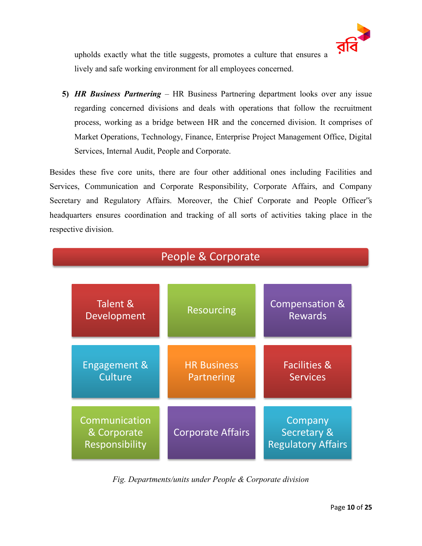

upholds exactly what the title suggests, promotes a culture that ensures a lively and safe working environment for all employees concerned.

**5)** *HR Business Partnering* – HR Business Partnering department looks over any issue regarding concerned divisions and deals with operations that follow the recruitment process, working as a bridge between HR and the concerned division. It comprises of Market Operations, Technology, Finance, Enterprise Project Management Office, Digital Services, Internal Audit, People and Corporate.

Besides these five core units, there are four other additional ones including Facilities and Services, Communication and Corporate Responsibility, Corporate Affairs, and Company Secretary and Regulatory Affairs. Moreover, the Chief Corporate and People Officer"s headquarters ensures coordination and tracking of all sorts of activities taking place in the respective division.



*Fig. Departments/units under People & Corporate division*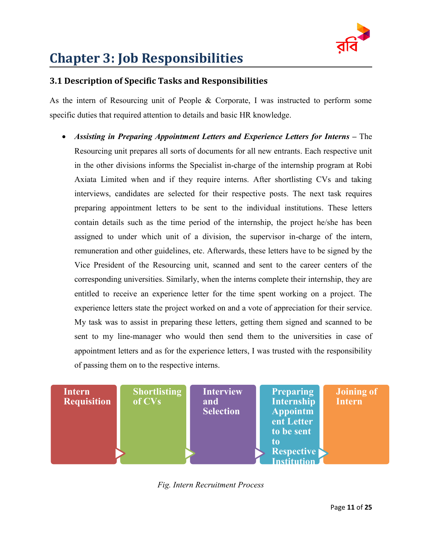

# <span id="page-14-0"></span>**Chapter 3: Job Responsibilities**

#### <span id="page-14-1"></span>**3.1 Description of Specific Tasks and Responsibilities**

As the intern of Resourcing unit of People & Corporate, I was instructed to perform some specific duties that required attention to details and basic HR knowledge.

 *Assisting in Preparing Appointment Letters and Experience Letters for Interns* **–** The Resourcing unit prepares all sorts of documents for all new entrants. Each respective unit in the other divisions informs the Specialist in-charge of the internship program at Robi Axiata Limited when and if they require interns. After shortlisting CVs and taking interviews, candidates are selected for their respective posts. The next task requires preparing appointment letters to be sent to the individual institutions. These letters contain details such as the time period of the internship, the project he/she has been assigned to under which unit of a division, the supervisor in-charge of the intern, remuneration and other guidelines, etc. Afterwards, these letters have to be signed by the Vice President of the Resourcing unit, scanned and sent to the career centers of the corresponding universities. Similarly, when the interns complete their internship, they are entitled to receive an experience letter for the time spent working on a project. The experience letters state the project worked on and a vote of appreciation for their service. My task was to assist in preparing these letters, getting them signed and scanned to be sent to my line-manager who would then send them to the universities in case of appointment letters and as for the experience letters, I was trusted with the responsibility of passing them on to the respective interns.



*Fig. Intern Recruitment Process*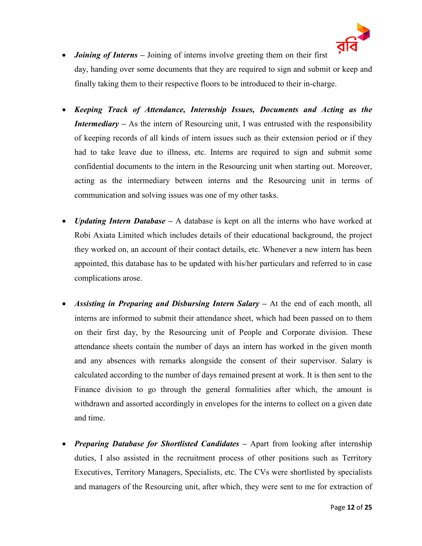

- *Joining of Interns* Joining of interns involve greeting them on their first day, handing over some documents that they are required to sign and submit or keep and finally taking them to their respective floors to be introduced to their in-charge.
- *Keeping Track of Attendance, Internship Issues, Documents and Acting as the Intermediary* **–** As the intern of Resourcing unit, I was entrusted with the responsibility of keeping records of all kinds of intern issues such as their extension period or if they had to take leave due to illness, etc. Interns are required to sign and submit some confidential documents to the intern in the Resourcing unit when starting out. Moreover, acting as the intermediary between interns and the Resourcing unit in terms of communication and solving issues was one of my other tasks.
- *Updating Intern Database* A database is kept on all the interns who have worked at Robi Axiata Limited which includes details of their educational background, the project they worked on, an account of their contact details, etc. Whenever a new intern has been appointed, this database has to be updated with his/her particulars and referred to in case complications arose.
- *Assisting in Preparing and Disbursing Intern Salary* **–** At the end of each month, all interns are informed to submit their attendance sheet, which had been passed on to them on their first day, by the Resourcing unit of People and Corporate division. These attendance sheets contain the number of days an intern has worked in the given month and any absences with remarks alongside the consent of their supervisor. Salary is calculated according to the number of days remained present at work. It is then sent to the Finance division to go through the general formalities after which, the amount is withdrawn and assorted accordingly in envelopes for the interns to collect on a given date and time.
- *Preparing Database for Shortlisted Candidates* **–** Apart from looking after internship duties, I also assisted in the recruitment process of other positions such as Territory Executives, Territory Managers, Specialists, etc. The CVs were shortlisted by specialists and managers of the Resourcing unit, after which, they were sent to me for extraction of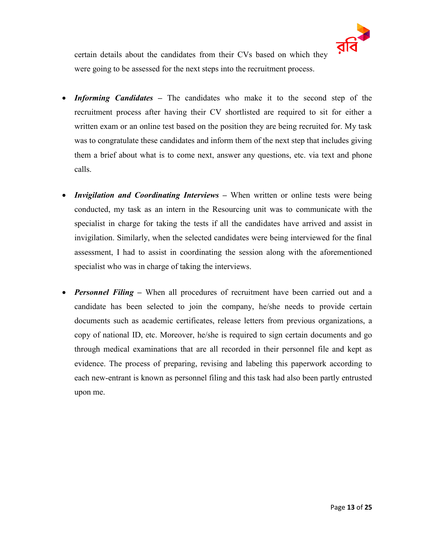

certain details about the candidates from their CVs based on which they were going to be assessed for the next steps into the recruitment process.

- *Informing Candidates* **–** The candidates who make it to the second step of the recruitment process after having their CV shortlisted are required to sit for either a written exam or an online test based on the position they are being recruited for. My task was to congratulate these candidates and inform them of the next step that includes giving them a brief about what is to come next, answer any questions, etc. via text and phone calls.
- *Invigilation and Coordinating Interviews* When written or online tests were being conducted, my task as an intern in the Resourcing unit was to communicate with the specialist in charge for taking the tests if all the candidates have arrived and assist in invigilation. Similarly, when the selected candidates were being interviewed for the final assessment, I had to assist in coordinating the session along with the aforementioned specialist who was in charge of taking the interviews.
- *Personnel Filing* **–** When all procedures of recruitment have been carried out and a candidate has been selected to join the company, he/she needs to provide certain documents such as academic certificates, release letters from previous organizations, a copy of national ID, etc. Moreover, he/she is required to sign certain documents and go through medical examinations that are all recorded in their personnel file and kept as evidence. The process of preparing, revising and labeling this paperwork according to each new-entrant is known as personnel filing and this task had also been partly entrusted upon me.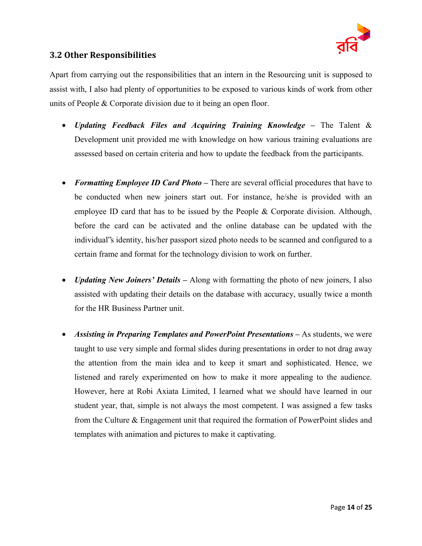

#### <span id="page-17-0"></span>**3.2 Other Responsibilities**

Apart from carrying out the responsibilities that an intern in the Resourcing unit is supposed to assist with, I also had plenty of opportunities to be exposed to various kinds of work from other units of People & Corporate division due to it being an open floor.

- *Updating Feedback Files and Acquiring Training Knowledge* **–** The Talent & Development unit provided me with knowledge on how various training evaluations are assessed based on certain criteria and how to update the feedback from the participants.
- *Formatting Employee ID Card Photo* **–** There are several official procedures that have to be conducted when new joiners start out. For instance, he/she is provided with an employee ID card that has to be issued by the People  $\&$  Corporate division. Although, before the card can be activated and the online database can be updated with the individual"s identity, his/her passport sized photo needs to be scanned and configured to a certain frame and format for the technology division to work on further.
- *Updating New Joiners' Details* **–** Along with formatting the photo of new joiners, I also assisted with updating their details on the database with accuracy, usually twice a month for the HR Business Partner unit.
- *Assisting in Preparing Templates and PowerPoint Presentations* **–** As students, we were taught to use very simple and formal slides during presentations in order to not drag away the attention from the main idea and to keep it smart and sophisticated. Hence, we listened and rarely experimented on how to make it more appealing to the audience. However, here at Robi Axiata Limited, I learned what we should have learned in our student year, that, simple is not always the most competent. I was assigned a few tasks from the Culture & Engagement unit that required the formation of PowerPoint slides and templates with animation and pictures to make it captivating.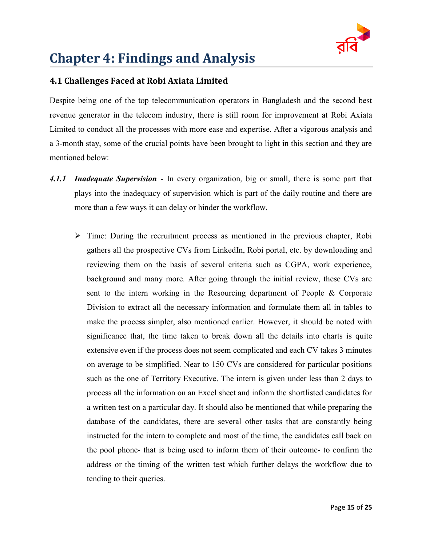

# <span id="page-18-0"></span>**Chapter 4: Findings and Analysis**

### <span id="page-18-1"></span>**4.1 Challenges Faced at Robi Axiata Limited**

Despite being one of the top telecommunication operators in Bangladesh and the second best revenue generator in the telecom industry, there is still room for improvement at Robi Axiata Limited to conduct all the processes with more ease and expertise. After a vigorous analysis and a 3-month stay, some of the crucial points have been brought to light in this section and they are mentioned below:

- <span id="page-18-2"></span>*4.1.1 Inadequate Supervision* - In every organization, big or small, there is some part that plays into the inadequacy of supervision which is part of the daily routine and there are more than a few ways it can delay or hinder the workflow.
	- $\triangleright$  Time: During the recruitment process as mentioned in the previous chapter, Robi gathers all the prospective CVs from LinkedIn, Robi portal, etc. by downloading and reviewing them on the basis of several criteria such as CGPA, work experience, background and many more. After going through the initial review, these CVs are sent to the intern working in the Resourcing department of People & Corporate Division to extract all the necessary information and formulate them all in tables to make the process simpler, also mentioned earlier. However, it should be noted with significance that, the time taken to break down all the details into charts is quite extensive even if the process does not seem complicated and each CV takes 3 minutes on average to be simplified. Near to 150 CVs are considered for particular positions such as the one of Territory Executive. The intern is given under less than 2 days to process all the information on an Excel sheet and inform the shortlisted candidates for a written test on a particular day. It should also be mentioned that while preparing the database of the candidates, there are several other tasks that are constantly being instructed for the intern to complete and most of the time, the candidates call back on the pool phone- that is being used to inform them of their outcome- to confirm the address or the timing of the written test which further delays the workflow due to tending to their queries.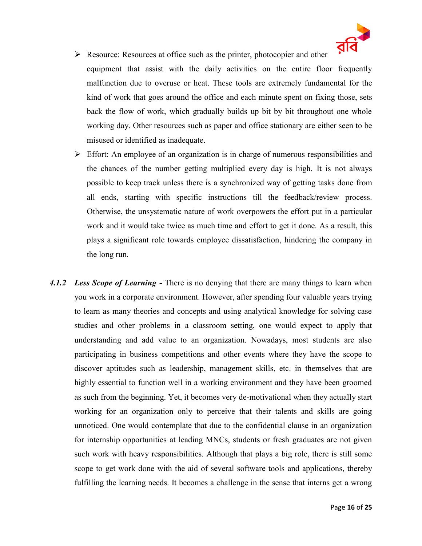

- $\triangleright$  Resource: Resources at office such as the printer, photocopier and other equipment that assist with the daily activities on the entire floor frequently malfunction due to overuse or heat. These tools are extremely fundamental for the kind of work that goes around the office and each minute spent on fixing those, sets back the flow of work, which gradually builds up bit by bit throughout one whole working day. Other resources such as paper and office stationary are either seen to be misused or identified as inadequate.
- $\triangleright$  Effort: An employee of an organization is in charge of numerous responsibilities and the chances of the number getting multiplied every day is high. It is not always possible to keep track unless there is a synchronized way of getting tasks done from all ends, starting with specific instructions till the feedback/review process. Otherwise, the unsystematic nature of work overpowers the effort put in a particular work and it would take twice as much time and effort to get it done. As a result, this plays a significant role towards employee dissatisfaction, hindering the company in the long run.
- <span id="page-19-0"></span>4.1.2 *Less Scope of Learning* - There is no denying that there are many things to learn when you work in a corporate environment. However, after spending four valuable years trying to learn as many theories and concepts and using analytical knowledge for solving case studies and other problems in a classroom setting, one would expect to apply that understanding and add value to an organization. Nowadays, most students are also participating in business competitions and other events where they have the scope to discover aptitudes such as leadership, management skills, etc. in themselves that are highly essential to function well in a working environment and they have been groomed as such from the beginning. Yet, it becomes very de-motivational when they actually start working for an organization only to perceive that their talents and skills are going unnoticed. One would contemplate that due to the confidential clause in an organization for internship opportunities at leading MNCs, students or fresh graduates are not given such work with heavy responsibilities. Although that plays a big role, there is still some scope to get work done with the aid of several software tools and applications, thereby fulfilling the learning needs. It becomes a challenge in the sense that interns get a wrong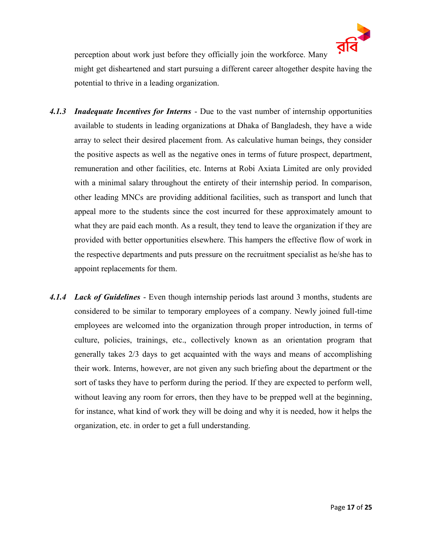

perception about work just before they officially join the workforce. Many

might get disheartened and start pursuing a different career altogether despite having the potential to thrive in a leading organization.

- <span id="page-20-0"></span>*4.1.3 Inadequate Incentives for Interns* - Due to the vast number of internship opportunities available to students in leading organizations at Dhaka of Bangladesh, they have a wide array to select their desired placement from. As calculative human beings, they consider the positive aspects as well as the negative ones in terms of future prospect, department, remuneration and other facilities, etc. Interns at Robi Axiata Limited are only provided with a minimal salary throughout the entirety of their internship period. In comparison, other leading MNCs are providing additional facilities, such as transport and lunch that appeal more to the students since the cost incurred for these approximately amount to what they are paid each month. As a result, they tend to leave the organization if they are provided with better opportunities elsewhere. This hampers the effective flow of work in the respective departments and puts pressure on the recruitment specialist as he/she has to appoint replacements for them.
- <span id="page-20-1"></span>*4.1.4 Lack of Guidelines* - Even though internship periods last around 3 months, students are considered to be similar to temporary employees of a company. Newly joined full-time employees are welcomed into the organization through proper introduction, in terms of culture, policies, trainings, etc., collectively known as an orientation program that generally takes 2/3 days to get acquainted with the ways and means of accomplishing their work. Interns, however, are not given any such briefing about the department or the sort of tasks they have to perform during the period. If they are expected to perform well, without leaving any room for errors, then they have to be prepped well at the beginning, for instance, what kind of work they will be doing and why it is needed, how it helps the organization, etc. in order to get a full understanding.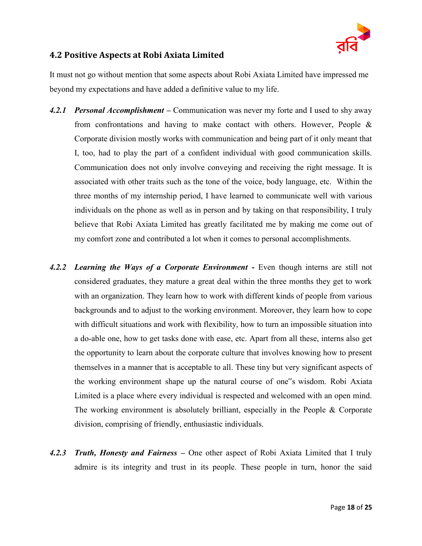

#### <span id="page-21-0"></span>**4.2 Positive Aspects at Robi Axiata Limited**

It must not go without mention that some aspects about Robi Axiata Limited have impressed me beyond my expectations and have added a definitive value to my life.

- <span id="page-21-1"></span>*4.2.1 Personal Accomplishment* **–** Communication was never my forte and I used to shy away from confrontations and having to make contact with others. However, People & Corporate division mostly works with communication and being part of it only meant that I, too, had to play the part of a confident individual with good communication skills. Communication does not only involve conveying and receiving the right message. It is associated with other traits such as the tone of the voice, body language, etc. Within the three months of my internship period, I have learned to communicate well with various individuals on the phone as well as in person and by taking on that responsibility, I truly believe that Robi Axiata Limited has greatly facilitated me by making me come out of my comfort zone and contributed a lot when it comes to personal accomplishments.
- <span id="page-21-2"></span>*4.2.2 Learning the Ways of a Corporate Environment* **-** Even though interns are still not considered graduates, they mature a great deal within the three months they get to work with an organization. They learn how to work with different kinds of people from various backgrounds and to adjust to the working environment. Moreover, they learn how to cope with difficult situations and work with flexibility, how to turn an impossible situation into a do-able one, how to get tasks done with ease, etc. Apart from all these, interns also get the opportunity to learn about the corporate culture that involves knowing how to present themselves in a manner that is acceptable to all. These tiny but very significant aspects of the working environment shape up the natural course of one"s wisdom. Robi Axiata Limited is a place where every individual is respected and welcomed with an open mind. The working environment is absolutely brilliant, especially in the People & Corporate division, comprising of friendly, enthusiastic individuals.
- <span id="page-21-3"></span>*4.2.3 Truth, Honesty and Fairness* **–** One other aspect of Robi Axiata Limited that I truly admire is its integrity and trust in its people. These people in turn, honor the said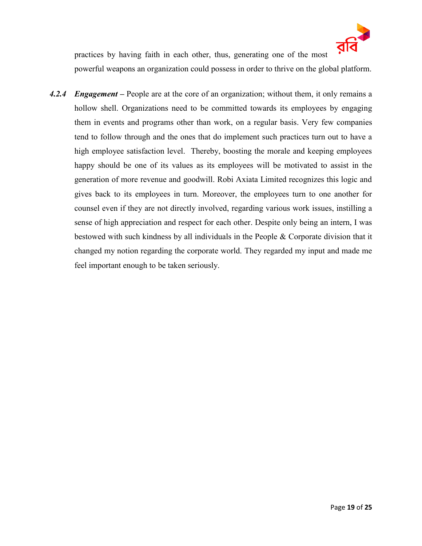

practices by having faith in each other, thus, generating one of the most powerful weapons an organization could possess in order to thrive on the global platform.

<span id="page-22-0"></span>*4.2.4 Engagement* **–** People are at the core of an organization; without them, it only remains a hollow shell. Organizations need to be committed towards its employees by engaging them in events and programs other than work, on a regular basis. Very few companies tend to follow through and the ones that do implement such practices turn out to have a high employee satisfaction level. Thereby, boosting the morale and keeping employees happy should be one of its values as its employees will be motivated to assist in the generation of more revenue and goodwill. Robi Axiata Limited recognizes this logic and gives back to its employees in turn. Moreover, the employees turn to one another for counsel even if they are not directly involved, regarding various work issues, instilling a sense of high appreciation and respect for each other. Despite only being an intern, I was bestowed with such kindness by all individuals in the People & Corporate division that it changed my notion regarding the corporate world. They regarded my input and made me feel important enough to be taken seriously.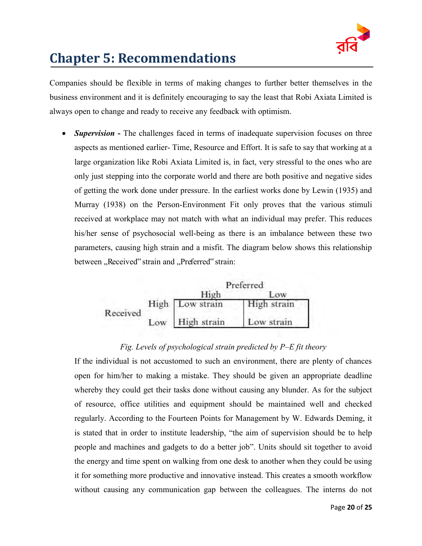

# <span id="page-23-0"></span>**Chapter 5: Recommendations**

Companies should be flexible in terms of making changes to further better themselves in the business environment and it is definitely encouraging to say the least that Robi Axiata Limited is always open to change and ready to receive any feedback with optimism.

• **Supervision** - The challenges faced in terms of inadequate supervision focuses on three aspects as mentioned earlier- Time, Resource and Effort. It is safe to say that working at a large organization like Robi Axiata Limited is, in fact, very stressful to the ones who are only just stepping into the corporate world and there are both positive and negative sides of getting the work done under pressure. In the earliest works done by Lewin (1935) and Murray (1938) on the Person-Environment Fit only proves that the various stimuli received at workplace may not match with what an individual may prefer. This reduces his/her sense of psychosocial well-being as there is an imbalance between these two parameters, causing high strain and a misfit. The diagram below shows this relationship between "Received" strain and "Preferred" strain:



#### *Fig. Levels of psychological strain predicted by P–E fit theory*

If the individual is not accustomed to such an environment, there are plenty of chances open for him/her to making a mistake. They should be given an appropriate deadline whereby they could get their tasks done without causing any blunder. As for the subject of resource, office utilities and equipment should be maintained well and checked regularly. According to the Fourteen Points for Management by W. Edwards Deming, it is stated that in order to institute leadership, "the aim of supervision should be to help people and machines and gadgets to do a better job". Units should sit together to avoid the energy and time spent on walking from one desk to another when they could be using it for something more productive and innovative instead. This creates a smooth workflow without causing any communication gap between the colleagues. The interns do not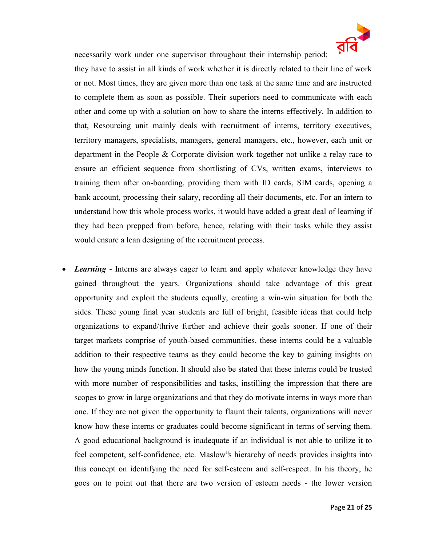

necessarily work under one supervisor throughout their internship period;

they have to assist in all kinds of work whether it is directly related to their line of work or not. Most times, they are given more than one task at the same time and are instructed to complete them as soon as possible. Their superiors need to communicate with each other and come up with a solution on how to share the interns effectively. In addition to that, Resourcing unit mainly deals with recruitment of interns, territory executives, territory managers, specialists, managers, general managers, etc., however, each unit or department in the People & Corporate division work together not unlike a relay race to ensure an efficient sequence from shortlisting of CVs, written exams, interviews to training them after on-boarding, providing them with ID cards, SIM cards, opening a bank account, processing their salary, recording all their documents, etc. For an intern to understand how this whole process works, it would have added a great deal of learning if they had been prepped from before, hence, relating with their tasks while they assist would ensure a lean designing of the recruitment process.

*Learning* - Interns are always eager to learn and apply whatever knowledge they have gained throughout the years. Organizations should take advantage of this great opportunity and exploit the students equally, creating a win-win situation for both the sides. These young final year students are full of bright, feasible ideas that could help organizations to expand/thrive further and achieve their goals sooner. If one of their target markets comprise of youth-based communities, these interns could be a valuable addition to their respective teams as they could become the key to gaining insights on how the young minds function. It should also be stated that these interns could be trusted with more number of responsibilities and tasks, instilling the impression that there are scopes to grow in large organizations and that they do motivate interns in ways more than one. If they are not given the opportunity to flaunt their talents, organizations will never know how these interns or graduates could become significant in terms of serving them. A good educational background is inadequate if an individual is not able to utilize it to feel competent, self-confidence, etc. Maslow"s hierarchy of needs provides insights into this concept on identifying the need for self-esteem and self-respect. In his theory, he goes on to point out that there are two version of esteem needs - the lower version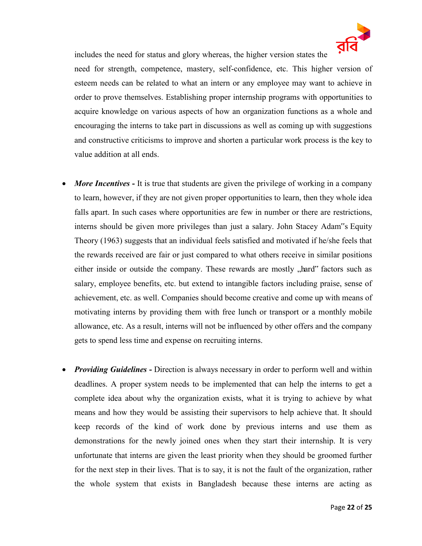

includes the need for status and glory whereas, the higher version states the need for strength, competence, mastery, self-confidence, etc. This higher version of esteem needs can be related to what an intern or any employee may want to achieve in order to prove themselves. Establishing proper internship programs with opportunities to acquire knowledge on various aspects of how an organization functions as a whole and encouraging the interns to take part in discussions as well as coming up with suggestions and constructive criticisms to improve and shorten a particular work process is the key to value addition at all ends.

- *More Incentives* **-** It is true that students are given the privilege of working in a company to learn, however, if they are not given proper opportunities to learn, then they whole idea falls apart. In such cases where opportunities are few in number or there are restrictions, interns should be given more privileges than just a salary. John Stacey Adam"s Equity Theory (1963) suggests that an individual feels satisfied and motivated if he/she feels that the rewards received are fair or just compared to what others receive in similar positions either inside or outside the company. These rewards are mostly "hard" factors such as salary, employee benefits, etc. but extend to intangible factors including praise, sense of achievement, etc. as well. Companies should become creative and come up with means of motivating interns by providing them with free lunch or transport or a monthly mobile allowance, etc. As a result, interns will not be influenced by other offers and the company gets to spend less time and expense on recruiting interns.
- *Providing Guidelines* Direction is always necessary in order to perform well and within deadlines. A proper system needs to be implemented that can help the interns to get a complete idea about why the organization exists, what it is trying to achieve by what means and how they would be assisting their supervisors to help achieve that. It should keep records of the kind of work done by previous interns and use them as demonstrations for the newly joined ones when they start their internship. It is very unfortunate that interns are given the least priority when they should be groomed further for the next step in their lives. That is to say, it is not the fault of the organization, rather the whole system that exists in Bangladesh because these interns are acting as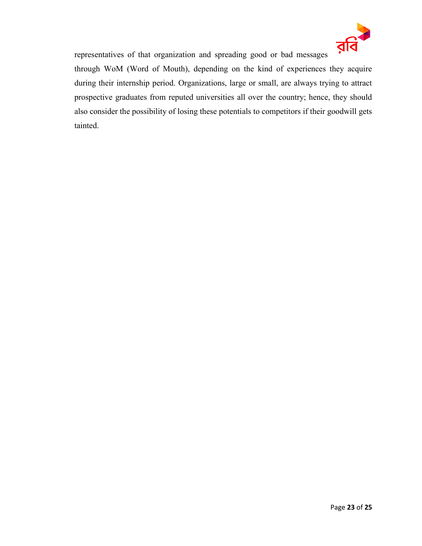

representatives of that organization and spreading good or bad messages through WoM (Word of Mouth), depending on the kind of experiences they acquire during their internship period. Organizations, large or small, are always trying to attract prospective graduates from reputed universities all over the country; hence, they should also consider the possibility of losing these potentials to competitors if their goodwill gets tainted.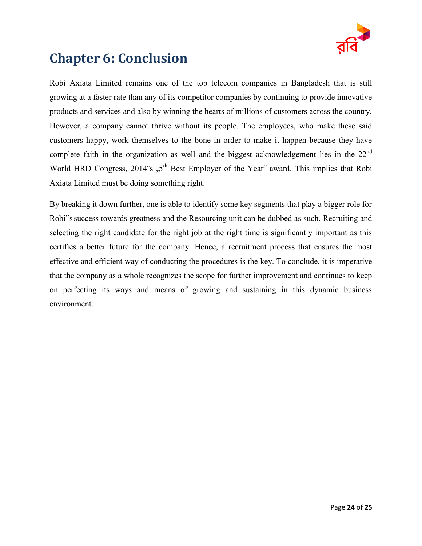

# <span id="page-27-0"></span>**Chapter 6: Conclusion**

Robi Axiata Limited remains one of the top telecom companies in Bangladesh that is still growing at a faster rate than any of its competitor companies by continuing to provide innovative products and services and also by winning the hearts of millions of customers across the country. However, a company cannot thrive without its people. The employees, who make these said customers happy, work themselves to the bone in order to make it happen because they have complete faith in the organization as well and the biggest acknowledgement lies in the  $22<sup>nd</sup>$ World HRD Congress, 2014's  $.5<sup>th</sup>$  Best Employer of the Year" award. This implies that Robi Axiata Limited must be doing something right.

By breaking it down further, one is able to identify some key segments that play a bigger role for Robi"s success towards greatness and the Resourcing unit can be dubbed as such. Recruiting and selecting the right candidate for the right job at the right time is significantly important as this certifies a better future for the company. Hence, a recruitment process that ensures the most effective and efficient way of conducting the procedures is the key. To conclude, it is imperative that the company as a whole recognizes the scope for further improvement and continues to keep on perfecting its ways and means of growing and sustaining in this dynamic business environment.